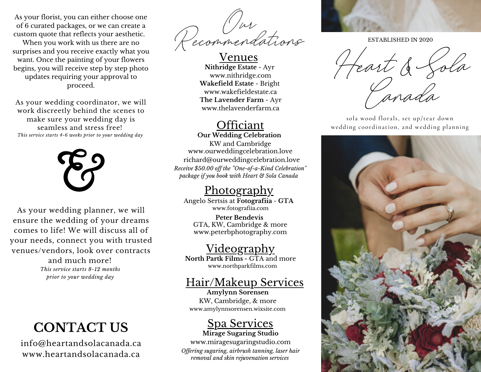As your florist, you can either choose one of 6 curated packages, or we can create a custom quote that reflects your aesthetic.

When you work with us there are no surprises and you receive exactly what you want. Once the painting of your flowers begins, you will receive step by step photo updates requiring your approval to proceed.

As your wedding coordinator, we will work discreetly behind the scenes to make sure your wedding day is seamless and stress free! *This service starts 4-6 weeks prior to your wedding day*



As your wedding planner, we will ensure the wedding of your dreams comes to life! We will discuss all of your needs, connect you with trusted venues/vendors, look over contracts

> and much more! *This service starts 8-12 months prior to your wedding day*

## **CONTACT US**

info@heartandsolacanada.ca www.heartandsolacanada.ca

**Our Recommendations**

Venues **Nithridge Estate** - Ayr www.nithridge.com **Wakefield Estate** - Bright www.wakefieldestate.ca **The Lavender Farm** - Ayr www.thelavenderfarm.ca

### **Officiant**

*Receive \$50.00 of the "One-of-a-Kind Celebration" package if you book with Heart & Sola Canada* **Our Wedding Celebration** KW and Cambridge www.ourweddingcelebration.love richard@ourweddingcelebration.love

### **Photography**

www.fotografiia.com Angelo Sertsis at **Fotografiia** - **GTA**

**Peter Bendevis** GTA, KW, Cambridge & more www.peterbphotography.com

### **Videography**

www.northparkfilms.com **North Partk Films -** GTA and more

### Hair/Makeup Services

www.amylynnsorensen.wixsite.com **Amylynn Sorensen** KW, Cambridge, & more

## Spa Services

**Mirage Sugaring Studio** www.miragesugaringstudio.com *Of ering sugaring, airbrush tanning, laser hair removal and skin rejuvenation services*



ESTABLISHED IN 2020

Heart & Sola **Canada**

sola wood florals, set up/tear down wedding coordination, and wedding planning